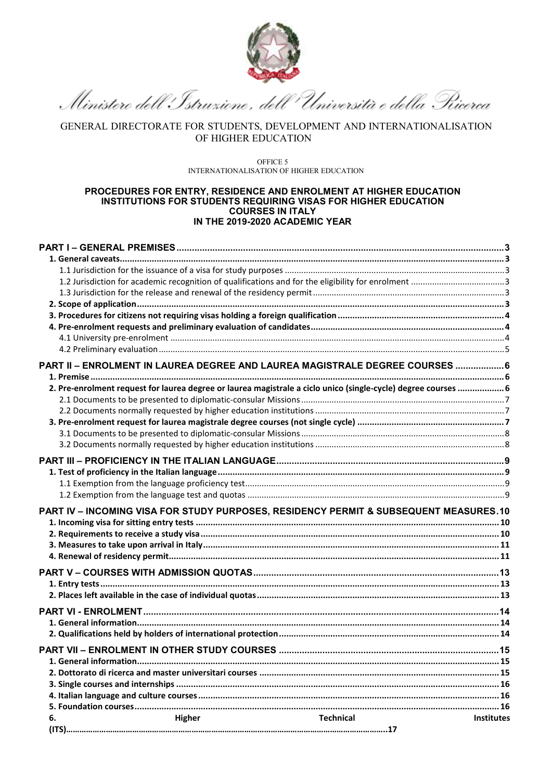

Ministero dell'Istruzione , dell'Università e della Pricerca

GENERAL DIRECTORATE FOR STUDENTS, DEVELOPMENT AND INTERNATIONALISATION OF HIGHER EDUCATION

OFFICE 5 INTERNATIONALISATION OF HIGHER EDUCATION

### **PROCEDURES FOR ENTRY, RESIDENCE AND ENROLMENT AT HIGHER EDUCATION INSTITUTIONS FOR STUDENTS REQUIRING VISAS FOR HIGHER EDUCATION COURSES IN ITALY IN THE 2019-2020 ACADEMIC YEAR**

|    |        | PART II - ENROLMENT IN LAUREA DEGREE AND LAUREA MAGISTRALE DEGREE COURSES  6                                   |                   |
|----|--------|----------------------------------------------------------------------------------------------------------------|-------------------|
|    |        |                                                                                                                |                   |
|    |        | 2. Pre-enrolment request for laurea degree or laurea magistrale a ciclo unico (single-cycle) degree courses  6 |                   |
|    |        |                                                                                                                |                   |
|    |        |                                                                                                                |                   |
|    |        |                                                                                                                |                   |
|    |        |                                                                                                                |                   |
|    |        |                                                                                                                |                   |
|    |        |                                                                                                                |                   |
|    |        |                                                                                                                |                   |
|    |        |                                                                                                                |                   |
|    |        |                                                                                                                |                   |
|    |        | <b>PART IV - INCOMING VISA FOR STUDY PURPOSES, RESIDENCY PERMIT &amp; SUBSEQUENT MEASURES.10</b>               |                   |
|    |        |                                                                                                                |                   |
|    |        |                                                                                                                |                   |
|    |        |                                                                                                                |                   |
|    |        |                                                                                                                |                   |
|    |        |                                                                                                                |                   |
|    |        |                                                                                                                |                   |
|    |        |                                                                                                                |                   |
|    |        |                                                                                                                |                   |
|    |        |                                                                                                                |                   |
|    |        |                                                                                                                |                   |
|    |        |                                                                                                                |                   |
|    |        |                                                                                                                |                   |
|    |        |                                                                                                                |                   |
|    |        |                                                                                                                |                   |
|    |        |                                                                                                                |                   |
|    |        |                                                                                                                |                   |
| 6. | Higher | <b>Technical</b>                                                                                               | <b>Institutes</b> |
|    |        |                                                                                                                |                   |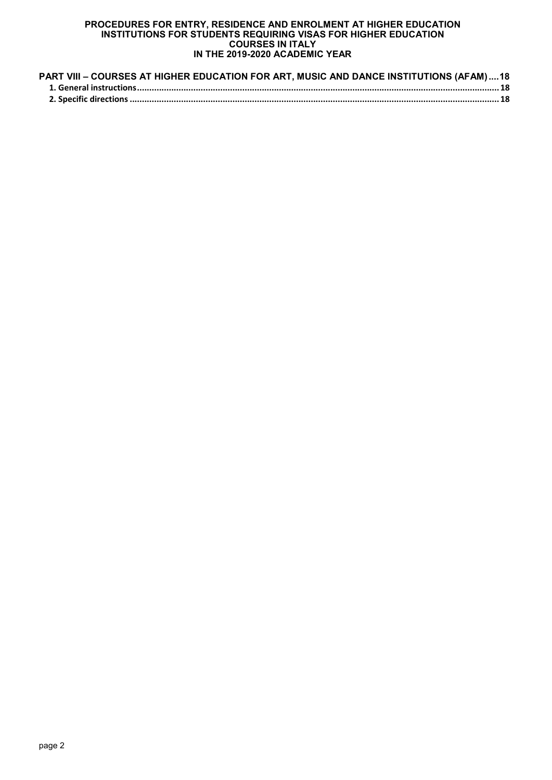| PART VIII - COURSES AT HIGHER EDUCATION FOR ART, MUSIC AND DANCE INSTITUTIONS (AFAM) 18 |  |
|-----------------------------------------------------------------------------------------|--|
|                                                                                         |  |
|                                                                                         |  |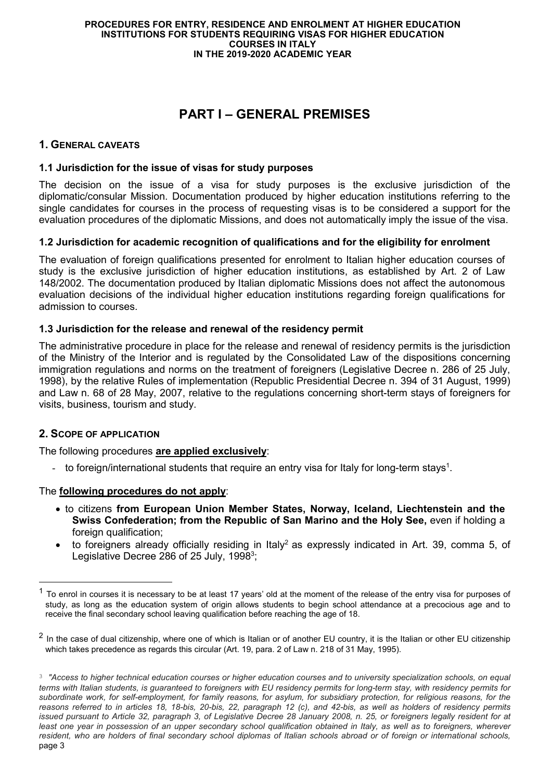# **PART I – GENERAL PREMISES**

# **1. GENERAL CAVEATS**

## **1.1 Jurisdiction for the issue of visas for study purposes**

The decision on the issue of a visa for study purposes is the exclusive jurisdiction of the diplomatic/consular Mission. Documentation produced by higher education institutions referring to the single candidates for courses in the process of requesting visas is to be considered a support for the evaluation procedures of the diplomatic Missions, and does not automatically imply the issue of the visa.

## **1.2 Jurisdiction for academic recognition of qualifications and for the eligibility for enrolment**

The evaluation of foreign qualifications presented for enrolment to Italian higher education courses of study is the exclusive jurisdiction of higher education institutions, as established by Art. 2 of Law 148/2002. The documentation produced by Italian diplomatic Missions does not affect the autonomous evaluation decisions of the individual higher education institutions regarding foreign qualifications for admission to courses.

## **1.3 Jurisdiction for the release and renewal of the residency permit**

The administrative procedure in place for the release and renewal of residency permits is the jurisdiction of the Ministry of the Interior and is regulated by the Consolidated Law of the dispositions concerning immigration regulations and norms on the treatment of foreigners (Legislative Decree n. 286 of 25 July, 1998), by the relative Rules of implementation (Republic Presidential Decree n. 394 of 31 August, 1999) and Law n. 68 of 28 May, 2007, relative to the regulations concerning short-term stays of foreigners for visits, business, tourism and study.

# **2. SCOPE OF APPLICATION**

-

The following procedures **are applied exclusively**:

- to foreign/international students that require an entry visa for Italy for long-term stays<sup>1</sup>.

## The **following procedures do not apply**:

- to citizens **from European Union Member States, Norway, Iceland, Liechtenstein and the Swiss Confederation; from the Republic of San Marino and the Holy See,** even if holding a foreign qualification;
- to foreigners already officially residing in Italy<sup>2</sup> as expressly indicated in Art. 39, comma 5, of Legislative Decree 286 of 25 July, 1998<sup>3</sup>;

 $1$  To enrol in courses it is necessary to be at least 17 years' old at the moment of the release of the entry visa for purposes of study, as long as the education system of origin allows students to begin school attendance at a precocious age and to receive the final secondary school leaving qualification before reaching the age of 18.

<sup>&</sup>lt;sup>2</sup> In the case of dual citizenship, where one of which is Italian or of another EU country, it is the Italian or other EU citizenship which takes precedence as regards this circular (Art. 19, para. 2 of Law n. 218 of 31 May, 1995).

page 3 <sup>3</sup> *"Access to higher technical education courses or higher education courses and to university specialization schools, on equal terms with Italian students, is guaranteed to foreigners with EU residency permits for long-term stay, with residency permits for subordinate work, for self-employment, for family reasons, for asylum, for subsidiary protection, for religious reasons, for the reasons referred to in articles 18, 18-bis, 20-bis, 22, paragraph 12 (c), and 42-bis, as well as holders of residency permits issued pursuant to Article 32, paragraph 3, of Legislative Decree 28 January 2008, n. 25, or foreigners legally resident for at least one year in possession of an upper secondary school qualification obtained in Italy, as well as to foreigners, wherever resident, who are holders of final secondary school diplomas of Italian schools abroad or of foreign or international schools,*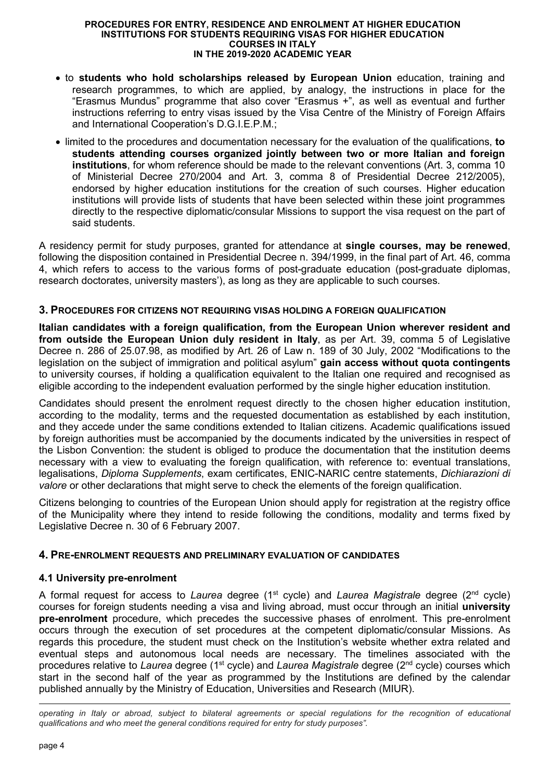- to **students who hold scholarships released by European Union** education, training and research programmes, to which are applied, by analogy, the instructions in place for the "Erasmus Mundus" programme that also cover "Erasmus +", as well as eventual and further instructions referring to entry visas issued by the Visa Centre of the Ministry of Foreign Affairs and International Cooperation's D.G.I.E.P.M.;
- limited to the procedures and documentation necessary for the evaluation of the qualifications, **to students attending courses organized jointly between two or more Italian and foreign institutions**, for whom reference should be made to the relevant conventions (Art. 3, comma 10 of Ministerial Decree 270/2004 and Art. 3, comma 8 of Presidential Decree 212/2005), endorsed by higher education institutions for the creation of such courses. Higher education institutions will provide lists of students that have been selected within these joint programmes directly to the respective diplomatic/consular Missions to support the visa request on the part of said students.

A residency permit for study purposes, granted for attendance at **single courses, may be renewed**, following the disposition contained in Presidential Decree n. 394/1999, in the final part of Art. 46, comma 4, which refers to access to the various forms of post-graduate education (post-graduate diplomas, research doctorates, university masters'), as long as they are applicable to such courses.

## **3. PROCEDURES FOR CITIZENS NOT REQUIRING VISAS HOLDING A FOREIGN QUALIFICATION**

**Italian candidates with a foreign qualification, from the European Union wherever resident and from outside the European Union duly resident in Italy**, as per Art. 39, comma 5 of Legislative Decree n. 286 of 25.07.98, as modified by Art. 26 of Law n. 189 of 30 July, 2002 "Modifications to the legislation on the subject of immigration and political asylum" **gain access without quota contingents** to university courses, if holding a qualification equivalent to the Italian one required and recognised as eligible according to the independent evaluation performed by the single higher education institution.

Candidates should present the enrolment request directly to the chosen higher education institution, according to the modality, terms and the requested documentation as established by each institution, and they accede under the same conditions extended to Italian citizens. Academic qualifications issued by foreign authorities must be accompanied by the documents indicated by the universities in respect of the Lisbon Convention: the student is obliged to produce the documentation that the institution deems necessary with a view to evaluating the foreign qualification, with reference to: eventual translations, legalisations, *Diploma Supplements*, exam certificates, ENIC-NARIC centre statements, *Dichiarazioni di valore* or other declarations that might serve to check the elements of the foreign qualification.

Citizens belonging to countries of the European Union should apply for registration at the registry office of the Municipality where they intend to reside following the conditions, modality and terms fixed by Legislative Decree n. 30 of 6 February 2007.

## **4. PRE-ENROLMENT REQUESTS AND PRELIMINARY EVALUATION OF CANDIDATES**

## **4.1 University pre-enrolment**

A formal request for access to *Laurea* degree (1st cycle) and *Laurea Magistrale* degree (2nd cycle) courses for foreign students needing a visa and living abroad, must occur through an initial **university pre-enrolment** procedure, which precedes the successive phases of enrolment. This pre-enrolment occurs through the execution of set procedures at the competent diplomatic/consular Missions. As regards this procedure, the student must check on the Institution's website whether extra related and eventual steps and autonomous local needs are necessary. The timelines associated with the procedures relative to *Laurea* degree (1st cycle) and *Laurea Magistrale* degree (2nd cycle) courses which start in the second half of the year as programmed by the Institutions are defined by the calendar published annually by the Ministry of Education, Universities and Research (MIUR).

*operating in Italy or abroad, subject to bilateral agreements or special regulations for the recognition of educational qualifications and who meet the general conditions required for entry for study purposes".*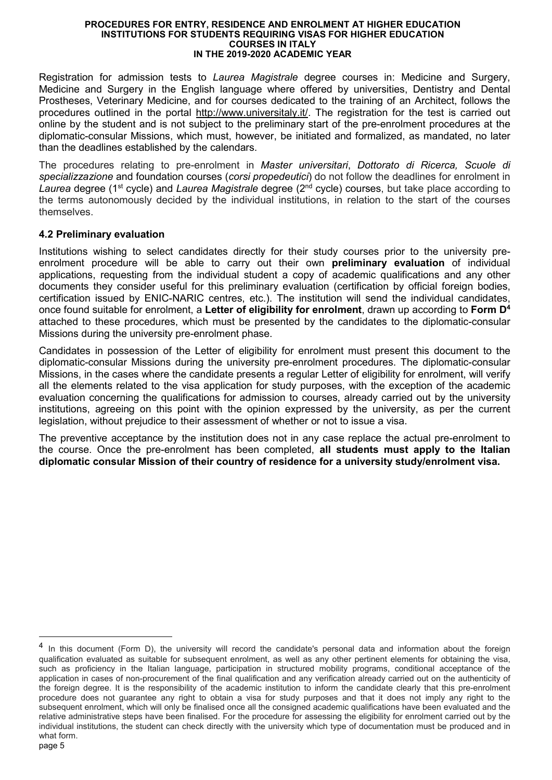Registration for admission tests to *Laurea Magistrale* degree courses in: Medicine and Surgery, Medicine and Surgery in the English language where offered by universities, Dentistry and Dental Prostheses, Veterinary Medicine, and for courses dedicated to the training of an Architect, follows the procedures outlined in the portal http://www.universitaly.it/. The registration for the test is carried out online by the student and is not subject to the preliminary start of the pre-enrolment procedures at the diplomatic-consular Missions, which must, however, be initiated and formalized, as mandated, no later than the deadlines established by the calendars.

The procedures relating to pre-enrolment in *Master universitari*, *Dottorato di Ricerca, Scuole di specializzazione* and foundation courses (*corsi propedeutici*) do not follow the deadlines for enrolment in *Laurea* degree (1st cycle) and *Laurea Magistrale* degree (2nd cycle) courses, but take place according to the terms autonomously decided by the individual institutions, in relation to the start of the courses themselves.

## **4.2 Preliminary evaluation**

Institutions wishing to select candidates directly for their study courses prior to the university preenrolment procedure will be able to carry out their own **preliminary evaluation** of individual applications, requesting from the individual student a copy of academic qualifications and any other documents they consider useful for this preliminary evaluation (certification by official foreign bodies, certification issued by ENIC-NARIC centres, etc.). The institution will send the individual candidates, once found suitable for enrolment, a **Letter of eligibility for enrolment**, drawn up according to **Form D<sup>4</sup>** attached to these procedures, which must be presented by the candidates to the diplomatic-consular Missions during the university pre-enrolment phase.

Candidates in possession of the Letter of eligibility for enrolment must present this document to the diplomatic-consular Missions during the university pre-enrolment procedures. The diplomatic-consular Missions, in the cases where the candidate presents a regular Letter of eligibility for enrolment, will verify all the elements related to the visa application for study purposes, with the exception of the academic evaluation concerning the qualifications for admission to courses, already carried out by the university institutions, agreeing on this point with the opinion expressed by the university, as per the current legislation, without prejudice to their assessment of whether or not to issue a visa.

The preventive acceptance by the institution does not in any case replace the actual pre-enrolment to the course. Once the pre-enrolment has been completed, **all students must apply to the Italian diplomatic consular Mission of their country of residence for a university study/enrolment visa.** 

<sup>&</sup>lt;sup>4</sup> In this document (Form D), the university will record the candidate's personal data and information about the foreign qualification evaluated as suitable for subsequent enrolment, as well as any other pertinent elements for obtaining the visa, such as proficiency in the Italian language, participation in structured mobility programs, conditional acceptance of the application in cases of non-procurement of the final qualification and any verification already carried out on the authenticity of the foreign degree. It is the responsibility of the academic institution to inform the candidate clearly that this pre-enrolment procedure does not guarantee any right to obtain a visa for study purposes and that it does not imply any right to the subsequent enrolment, which will only be finalised once all the consigned academic qualifications have been evaluated and the relative administrative steps have been finalised. For the procedure for assessing the eligibility for enrolment carried out by the individual institutions, the student can check directly with the university which type of documentation must be produced and in what form.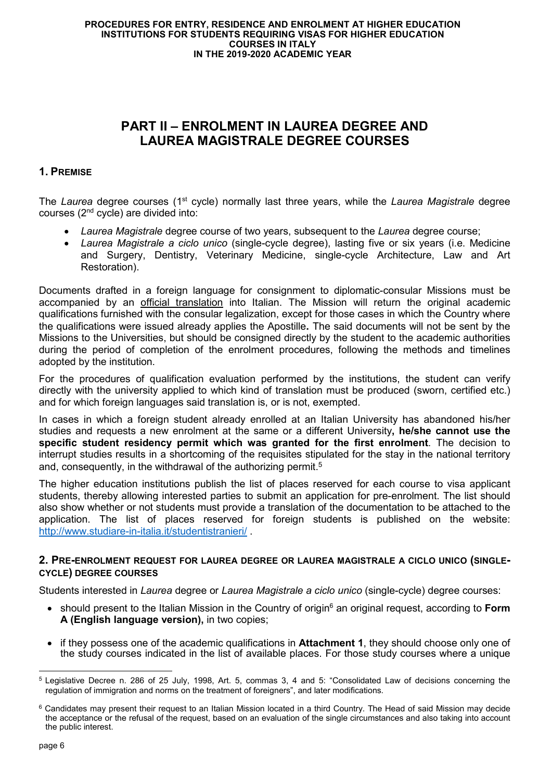# **PART II – ENROLMENT IN LAUREA DEGREE AND LAUREA MAGISTRALE DEGREE COURSES**

# **1. PREMISE**

The *Laurea* degree courses (1<sup>st</sup> cycle) normally last three years, while the *Laurea Magistrale* degree courses (2nd cycle) are divided into:

- *Laurea Magistrale* degree course of two years, subsequent to the *Laurea* degree course;
- *Laurea Magistrale a ciclo unico* (single-cycle degree), lasting five or six years (i.e. Medicine and Surgery, Dentistry, Veterinary Medicine, single-cycle Architecture, Law and Art Restoration).

Documents drafted in a foreign language for consignment to diplomatic-consular Missions must be accompanied by an official translation into Italian. The Mission will return the original academic qualifications furnished with the consular legalization, except for those cases in which the Country where the qualifications were issued already applies the Apostille**.** The said documents will not be sent by the Missions to the Universities, but should be consigned directly by the student to the academic authorities during the period of completion of the enrolment procedures, following the methods and timelines adopted by the institution.

For the procedures of qualification evaluation performed by the institutions, the student can verify directly with the university applied to which kind of translation must be produced (sworn, certified etc.) and for which foreign languages said translation is, or is not, exempted.

In cases in which a foreign student already enrolled at an Italian University has abandoned his/her studies and requests a new enrolment at the same or a different University**, he/she cannot use the specific student residency permit which was granted for the first enrolment**. The decision to interrupt studies results in a shortcoming of the requisites stipulated for the stay in the national territory and, consequently, in the withdrawal of the authorizing permit.<sup>5</sup>

The higher education institutions publish the list of places reserved for each course to visa applicant students, thereby allowing interested parties to submit an application for pre-enrolment. The list should also show whether or not students must provide a translation of the documentation to be attached to the application. The list of places reserved for foreign students is published on the website: http://www.studiare-in-italia.it/studentistranieri/

### **2. PRE-ENROLMENT REQUEST FOR LAUREA DEGREE OR LAUREA MAGISTRALE A CICLO UNICO (SINGLE-CYCLE) DEGREE COURSES**

Students interested in *Laurea* degree or *Laurea Magistrale a ciclo unico* (single-cycle) degree courses:

- should present to the Italian Mission in the Country of origin<sup>6</sup> an original request, according to Form **A (English language version),** in two copies;
- if they possess one of the academic qualifications in **Attachment 1**, they should choose only one of the study courses indicated in the list of available places. For those study courses where a unique

<sup>-</sup><sup>5</sup> Legislative Decree n. 286 of 25 July, 1998, Art. 5, commas 3, 4 and 5: "Consolidated Law of decisions concerning the regulation of immigration and norms on the treatment of foreigners", and later modifications.

<sup>&</sup>lt;sup>6</sup> Candidates may present their request to an Italian Mission located in a third Country. The Head of said Mission may decide the acceptance or the refusal of the request, based on an evaluation of the single circumstances and also taking into account the public interest.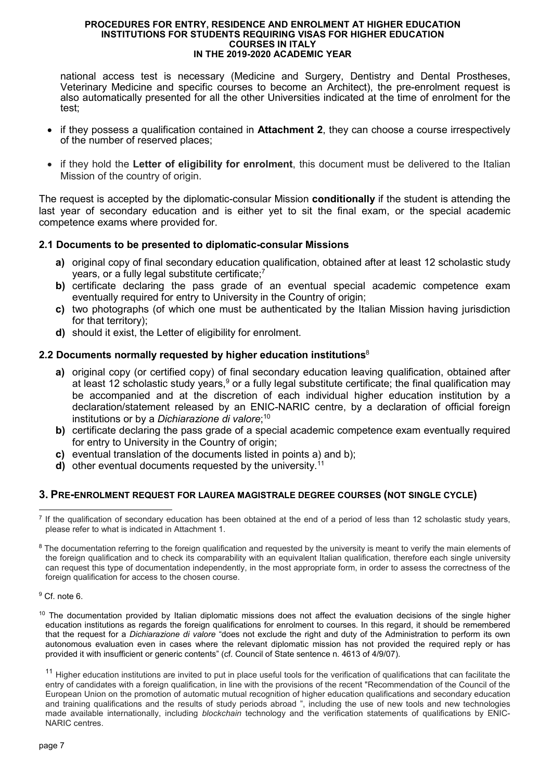national access test is necessary (Medicine and Surgery, Dentistry and Dental Prostheses, Veterinary Medicine and specific courses to become an Architect), the pre-enrolment request is also automatically presented for all the other Universities indicated at the time of enrolment for the test;

- if they possess a qualification contained in **Attachment 2**, they can choose a course irrespectively of the number of reserved places;
- if they hold the **Letter of eligibility for enrolment**, this document must be delivered to the Italian Mission of the country of origin.

The request is accepted by the diplomatic-consular Mission **conditionally** if the student is attending the last year of secondary education and is either yet to sit the final exam, or the special academic competence exams where provided for.

## **2.1 Documents to be presented to diplomatic-consular Missions**

- **a)** original copy of final secondary education qualification, obtained after at least 12 scholastic study years, or a fully legal substitute certificate;<sup>7</sup>
- **b)** certificate declaring the pass grade of an eventual special academic competence exam eventually required for entry to University in the Country of origin;
- **c)** two photographs (of which one must be authenticated by the Italian Mission having jurisdiction for that territory);
- **d)** should it exist, the Letter of eligibility for enrolment.

## **2.2 Documents normally requested by higher education institutions**<sup>8</sup>

- **a)** original copy (or certified copy) of final secondary education leaving qualification, obtained after at least 12 scholastic study years,<sup>9</sup> or a fully legal substitute certificate; the final qualification may be accompanied and at the discretion of each individual higher education institution by a declaration/statement released by an ENIC-NARIC centre, by a declaration of official foreign institutions or by a *Dichiarazione di valore*; 10
- **b)** certificate declaring the pass grade of a special academic competence exam eventually required for entry to University in the Country of origin;
- **c)** eventual translation of the documents listed in points a) and b);
- **d)** other eventual documents requested by the university.<sup>11</sup>

## **3. PRE-ENROLMENT REQUEST FOR LAUREA MAGISTRALE DEGREE COURSES (NOT SINGLE CYCLE)**

9 Cf. note 6.

<sup>-</sup>7 If the qualification of secondary education has been obtained at the end of a period of less than 12 scholastic study years, please refer to what is indicated in Attachment 1.

<sup>&</sup>lt;sup>8</sup> The documentation referring to the foreign qualification and requested by the university is meant to verify the main elements of the foreign qualification and to check its comparability with an equivalent Italian qualification, therefore each single university can request this type of documentation independently, in the most appropriate form, in order to assess the correctness of the foreign qualification for access to the chosen course.

 $10$  The documentation provided by Italian diplomatic missions does not affect the evaluation decisions of the single higher education institutions as regards the foreign qualifications for enrolment to courses. In this regard, it should be remembered that the request for a *Dichiarazione di valore* "does not exclude the right and duty of the Administration to perform its own autonomous evaluation even in cases where the relevant diplomatic mission has not provided the required reply or has provided it with insufficient or generic contents" (cf. Council of State sentence n. 4613 of 4/9/07).

<sup>&</sup>lt;sup>11</sup> Higher education institutions are invited to put in place useful tools for the verification of qualifications that can facilitate the entry of candidates with a foreign qualification, in line with the provisions of the recent "Recommendation of the Council of the European Union on the promotion of automatic mutual recognition of higher education qualifications and secondary education and training qualifications and the results of study periods abroad ", including the use of new tools and new technologies made available internationally, including *blockchain* technology and the verification statements of qualifications by ENIC-NARIC centres.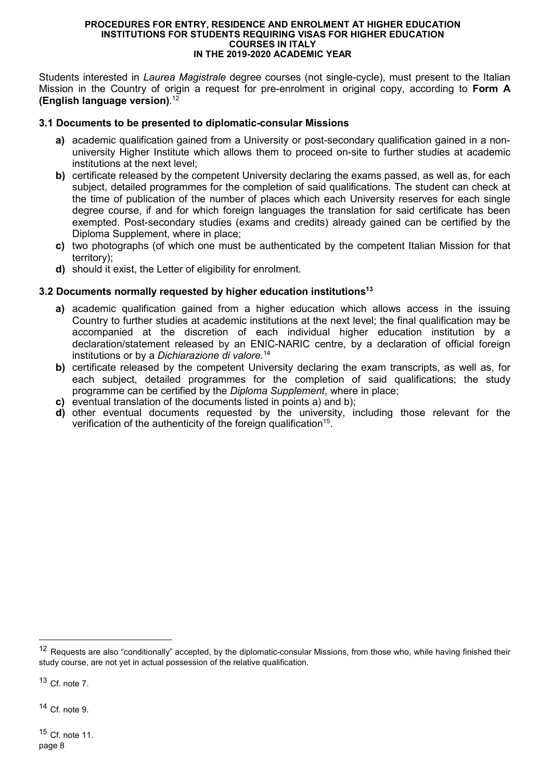Students interested in *Laurea Magistrale* degree courses (not single-cycle), must present to the Italian Mission in the Country of origin a request for pre-enrolment in original copy, according to **Form A (English language version)**. 12

### **3.1 Documents to be presented to diplomatic-consular Missions**

- **a)** academic qualification gained from a University or post-secondary qualification gained in a nonuniversity Higher Institute which allows them to proceed on-site to further studies at academic institutions at the next level;
- **b)** certificate released by the competent University declaring the exams passed, as well as, for each subject, detailed programmes for the completion of said qualifications. The student can check at the time of publication of the number of places which each University reserves for each single degree course, if and for which foreign languages the translation for said certificate has been exempted. Post-secondary studies (exams and credits) already gained can be certified by the Diploma Supplement, where in place;
- **c)** two photographs (of which one must be authenticated by the competent Italian Mission for that territory);
- **d)** should it exist, the Letter of eligibility for enrolment.

## **3.2 Documents normally requested by higher education institutions<sup>13</sup>**

- **a)** academic qualification gained from a higher education which allows access in the issuing Country to further studies at academic institutions at the next level; the final qualification may be accompanied at the discretion of each individual higher education institution by a declaration/statement released by an ENIC-NARIC centre, by a declaration of official foreign institutions or by a *Dichiarazione di valore*. 14
- **b)** certificate released by the competent University declaring the exam transcripts, as well as, for each subject, detailed programmes for the completion of said qualifications; the study programme can be certified by the *Diploma Supplement*, where in place;
- **c)** eventual translation of the documents listed in points a) and b);
- **d)** other eventual documents requested by the university, including those relevant for the verification of the authenticity of the foreign qualification<sup>15</sup>.

 $13$  Cf. note 7.

-

 $14$  Cf. note 9.

<sup>&</sup>lt;sup>12</sup> Requests are also "conditionally" accepted, by the diplomatic-consular Missions, from those who, while having finished their study course, are not yet in actual possession of the relative qualification.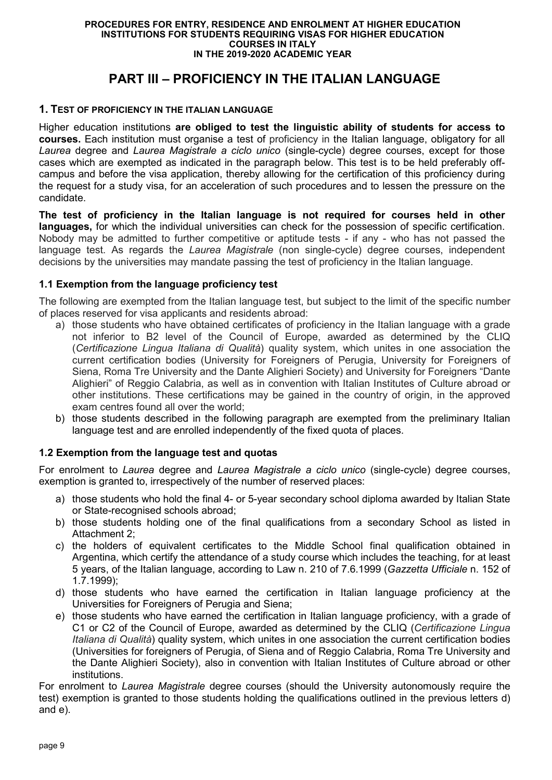# **PART III – PROFICIENCY IN THE ITALIAN LANGUAGE**

# **1. TEST OF PROFICIENCY IN THE ITALIAN LANGUAGE**

Higher education institutions **are obliged to test the linguistic ability of students for access to courses.** Each institution must organise a test of proficiency in the Italian language, obligatory for all *Laurea* degree and *Laurea Magistrale a ciclo unico* (single-cycle) degree courses, except for those cases which are exempted as indicated in the paragraph below. This test is to be held preferably offcampus and before the visa application, thereby allowing for the certification of this proficiency during the request for a study visa, for an acceleration of such procedures and to lessen the pressure on the candidate.

**The test of proficiency in the Italian language is not required for courses held in other languages,** for which the individual universities can check for the possession of specific certification. Nobody may be admitted to further competitive or aptitude tests - if any - who has not passed the language test. As regards the *Laurea Magistrale* (non single-cycle) degree courses, independent decisions by the universities may mandate passing the test of proficiency in the Italian language.

## **1.1 Exemption from the language proficiency test**

The following are exempted from the Italian language test, but subject to the limit of the specific number of places reserved for visa applicants and residents abroad:

- a) those students who have obtained certificates of proficiency in the Italian language with a grade not inferior to B2 level of the Council of Europe, awarded as determined by the CLIQ (*Certificazione Lingua Italiana di Qualità*) quality system, which unites in one association the current certification bodies (University for Foreigners of Perugia, University for Foreigners of Siena, Roma Tre University and the Dante Alighieri Society) and University for Foreigners "Dante Alighieri" of Reggio Calabria, as well as in convention with Italian Institutes of Culture abroad or other institutions. These certifications may be gained in the country of origin, in the approved exam centres found all over the world;
- b) those students described in the following paragraph are exempted from the preliminary Italian language test and are enrolled independently of the fixed quota of places.

## **1.2 Exemption from the language test and quotas**

For enrolment to *Laurea* degree and *Laurea Magistrale a ciclo unico* (single-cycle) degree courses, exemption is granted to, irrespectively of the number of reserved places:

- a) those students who hold the final 4- or 5-year secondary school diploma awarded by Italian State or State-recognised schools abroad;
- b) those students holding one of the final qualifications from a secondary School as listed in Attachment 2;
- c) the holders of equivalent certificates to the Middle School final qualification obtained in Argentina, which certify the attendance of a study course which includes the teaching, for at least 5 years, of the Italian language, according to Law n. 210 of 7.6.1999 (*Gazzetta Ufficiale* n. 152 of 1.7.1999);
- d) those students who have earned the certification in Italian language proficiency at the Universities for Foreigners of Perugia and Siena;
- e) those students who have earned the certification in Italian language proficiency, with a grade of C1 or C2 of the Council of Europe, awarded as determined by the CLIQ (*Certificazione Lingua Italiana di Qualità*) quality system, which unites in one association the current certification bodies (Universities for foreigners of Perugia, of Siena and of Reggio Calabria, Roma Tre University and the Dante Alighieri Society), also in convention with Italian Institutes of Culture abroad or other institutions.

For enrolment to *Laurea Magistrale* degree courses (should the University autonomously require the test) exemption is granted to those students holding the qualifications outlined in the previous letters d) and e).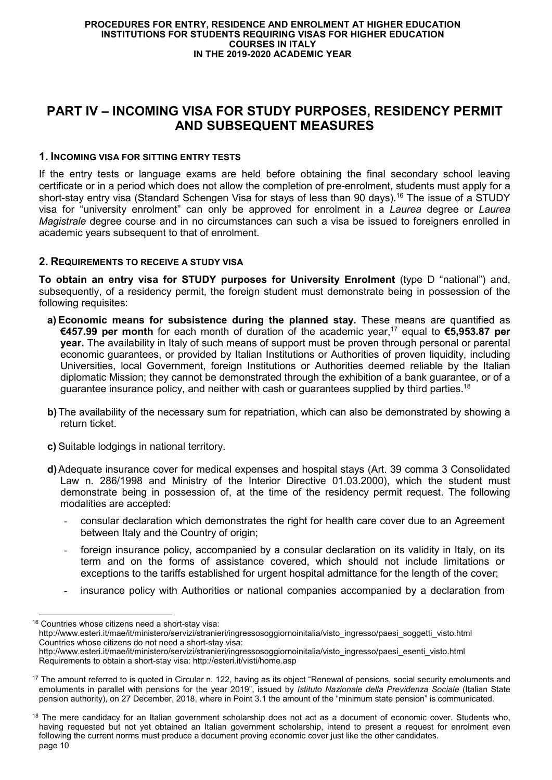# **PART IV – INCOMING VISA FOR STUDY PURPOSES, RESIDENCY PERMIT AND SUBSEQUENT MEASURES**

## **1. INCOMING VISA FOR SITTING ENTRY TESTS**

If the entry tests or language exams are held before obtaining the final secondary school leaving certificate or in a period which does not allow the completion of pre-enrolment, students must apply for a short-stay entry visa (Standard Schengen Visa for stays of less than 90 days).<sup>16</sup> The issue of a STUDY visa for "university enrolment" can only be approved for enrolment in a *Laurea* degree or *Laurea Magistrale* degree course and in no circumstances can such a visa be issued to foreigners enrolled in academic years subsequent to that of enrolment.

### **2. REQUIREMENTS TO RECEIVE A STUDY VISA**

**To obtain an entry visa for STUDY purposes for University Enrolment** (type D "national") and, subsequently, of a residency permit, the foreign student must demonstrate being in possession of the following requisites:

- **a) Economic means for subsistence during the planned stay.** These means are quantified as **€457.99 per month** for each month of duration of the academic year,<sup>17</sup> equal to **€5,953.87 per year.** The availability in Italy of such means of support must be proven through personal or parental economic guarantees, or provided by Italian Institutions or Authorities of proven liquidity, including Universities, local Government, foreign Institutions or Authorities deemed reliable by the Italian diplomatic Mission; they cannot be demonstrated through the exhibition of a bank guarantee, or of a guarantee insurance policy, and neither with cash or guarantees supplied by third parties.<sup>18</sup>
- **b)** The availability of the necessary sum for repatriation, which can also be demonstrated by showing a return ticket.
- **c)** Suitable lodgings in national territory.

- **d)** Adequate insurance cover for medical expenses and hospital stays (Art. 39 comma 3 Consolidated Law n. 286/1998 and Ministry of the Interior Directive 01.03.2000), which the student must demonstrate being in possession of, at the time of the residency permit request. The following modalities are accepted:
	- consular declaration which demonstrates the right for health care cover due to an Agreement between Italy and the Country of origin;
	- foreign insurance policy, accompanied by a consular declaration on its validity in Italy, on its term and on the forms of assistance covered, which should not include limitations or exceptions to the tariffs established for urgent hospital admittance for the length of the cover;
	- insurance policy with Authorities or national companies accompanied by a declaration from

<sup>16</sup> Countries whose citizens need a short-stay visa: http://www.esteri.it/mae/it/ministero/servizi/stranieri/ingressosoggiornoinitalia/visto\_ingresso/paesi\_soggetti\_visto.html Countries whose citizens do not need a short-stay visa: http://www.esteri.it/mae/it/ministero/servizi/stranieri/ingressosoggiornoinitalia/visto\_ingresso/paesi\_esenti\_visto.html Requirements to obtain a short-stay visa: http://esteri.it/visti/home.asp

<sup>&</sup>lt;sup>17</sup> The amount referred to is quoted in Circular n. 122, having as its object "Renewal of pensions, social security emoluments and emoluments in parallel with pensions for the year 2019", issued by *Istituto Nazionale della Previdenza Sociale* (Italian State pension authority), on 27 December, 2018, where in Point 3.1 the amount of the "minimum state pension" is communicated.

page 10 <sup>18</sup> The mere candidacy for an Italian government scholarship does not act as a document of economic cover. Students who, having requested but not yet obtained an Italian government scholarship, intend to present a request for enrolment even following the current norms must produce a document proving economic cover just like the other candidates.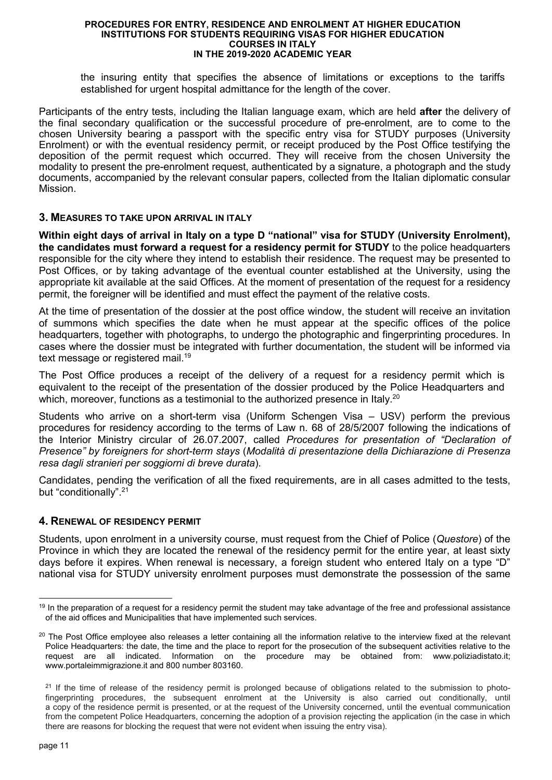the insuring entity that specifies the absence of limitations or exceptions to the tariffs established for urgent hospital admittance for the length of the cover.

Participants of the entry tests, including the Italian language exam, which are held **after** the delivery of the final secondary qualification or the successful procedure of pre-enrolment, are to come to the chosen University bearing a passport with the specific entry visa for STUDY purposes (University Enrolment) or with the eventual residency permit, or receipt produced by the Post Office testifying the deposition of the permit request which occurred. They will receive from the chosen University the modality to present the pre-enrolment request, authenticated by a signature, a photograph and the study documents, accompanied by the relevant consular papers, collected from the Italian diplomatic consular Mission.

### **3. MEASURES TO TAKE UPON ARRIVAL IN ITALY**

**Within eight days of arrival in Italy on a type D "national" visa for STUDY (University Enrolment), the candidates must forward a request for a residency permit for STUDY** to the police headquarters responsible for the city where they intend to establish their residence. The request may be presented to Post Offices, or by taking advantage of the eventual counter established at the University, using the appropriate kit available at the said Offices. At the moment of presentation of the request for a residency permit, the foreigner will be identified and must effect the payment of the relative costs.

At the time of presentation of the dossier at the post office window, the student will receive an invitation of summons which specifies the date when he must appear at the specific offices of the police headquarters, together with photographs, to undergo the photographic and fingerprinting procedures. In cases where the dossier must be integrated with further documentation, the student will be informed via text message or registered mail.<sup>19</sup>

The Post Office produces a receipt of the delivery of a request for a residency permit which is equivalent to the receipt of the presentation of the dossier produced by the Police Headquarters and which, moreover, functions as a testimonial to the authorized presence in Italy.<sup>20</sup>

Students who arrive on a short-term visa (Uniform Schengen Visa – USV) perform the previous procedures for residency according to the terms of Law n. 68 of 28/5/2007 following the indications of the Interior Ministry circular of 26.07.2007, called *Procedures for presentation of "Declaration of Presence" by foreigners for short-term stays* (*Modalità di presentazione della Dichiarazione di Presenza resa dagli stranieri per soggiorni di breve durata*).

Candidates, pending the verification of all the fixed requirements, are in all cases admitted to the tests, but "conditionally".<sup>21</sup>

## **4. RENEWAL OF RESIDENCY PERMIT**

Students, upon enrolment in a university course, must request from the Chief of Police (*Questore*) of the Province in which they are located the renewal of the residency permit for the entire year, at least sixty days before it expires. When renewal is necessary, a foreign student who entered Italy on a type "D" national visa for STUDY university enrolment purposes must demonstrate the possession of the same

<sup>-</sup><sup>19</sup> In the preparation of a request for a residency permit the student may take advantage of the free and professional assistance of the aid offices and Municipalities that have implemented such services.

<sup>&</sup>lt;sup>20</sup> The Post Office employee also releases a letter containing all the information relative to the interview fixed at the relevant Police Headquarters: the date, the time and the place to report for the prosecution of the subsequent activities relative to the request are all indicated. Information on the procedure may be obtained from: www.poliziadistato.it; www.portaleimmigrazione.it and 800 number 803160.

<sup>&</sup>lt;sup>21</sup> If the time of release of the residency permit is prolonged because of obligations related to the submission to photofingerprinting procedures, the subsequent enrolment at the University is also carried out conditionally, until a copy of the residence permit is presented, or at the request of the University concerned, until the eventual communication from the competent Police Headquarters, concerning the adoption of a provision rejecting the application (in the case in which there are reasons for blocking the request that were not evident when issuing the entry visa).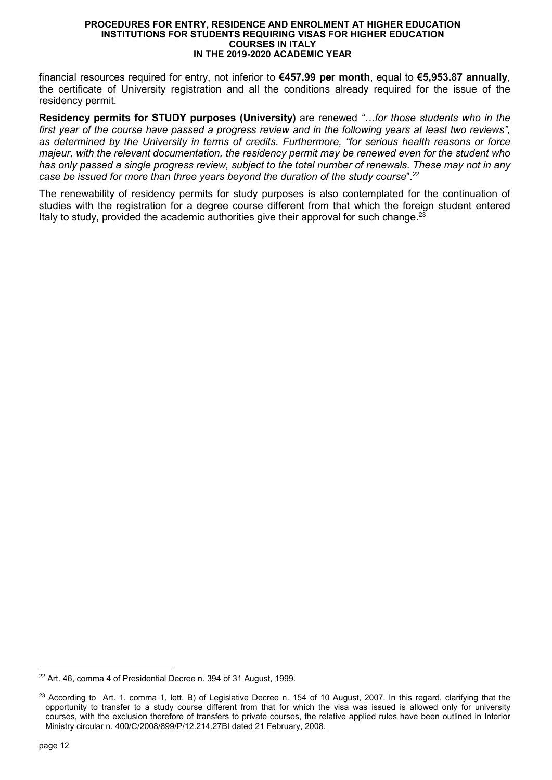financial resources required for entry, not inferior to **€457.99 per month**, equal to **€5,953.87 annually**, the certificate of University registration and all the conditions already required for the issue of the residency permit.

**Residency permits for STUDY purposes (University)** are renewed "...for those students who in the *first year of the course have passed a progress review and in the following years at least two reviews", as determined by the University in terms of credits. Furthermore, "for serious health reasons or force majeur, with the relevant documentation, the residency permit may be renewed even for the student who has only passed a single progress review, subject to the total number of renewals. These may not in any case be issued for more than three years beyond the duration of the study course*".<sup>22</sup>

The renewability of residency permits for study purposes is also contemplated for the continuation of studies with the registration for a degree course different from that which the foreign student entered Italy to study, provided the academic authorities give their approval for such change. $23$ 

<sup>-</sup><sup>22</sup> Art. 46, comma 4 of Presidential Decree n. 394 of 31 August, 1999.

 $23$  According to Art. 1, comma 1, lett. B) of Legislative Decree n. 154 of 10 August, 2007. In this regard, clarifying that the opportunity to transfer to a study course different from that for which the visa was issued is allowed only for university courses, with the exclusion therefore of transfers to private courses, the relative applied rules have been outlined in Interior Ministry circular n. 400/C/2008/899/P/12.214.27BI dated 21 February, 2008.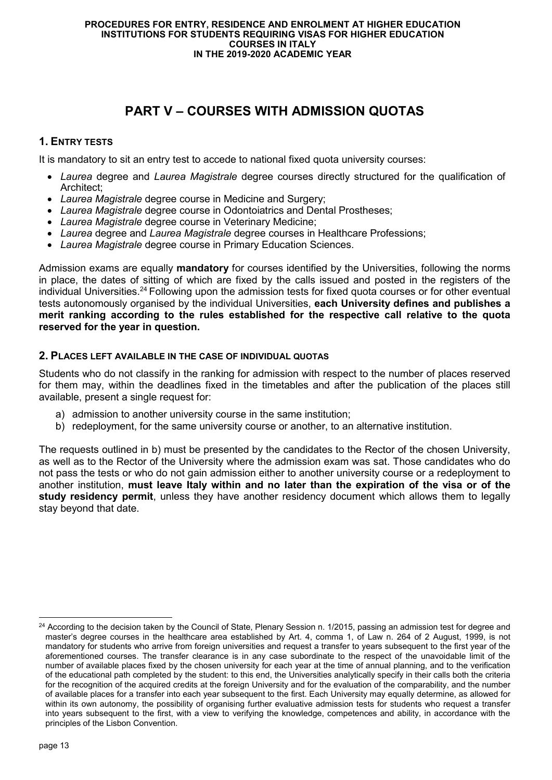# **PART V – COURSES WITH ADMISSION QUOTAS**

# **1. ENTRY TESTS**

It is mandatory to sit an entry test to accede to national fixed quota university courses:

- *Laurea* degree and *Laurea Magistrale* degree courses directly structured for the qualification of Architect;
- *Laurea Magistrale* degree course in Medicine and Surgery;
- *Laurea Magistrale* degree course in Odontoiatrics and Dental Prostheses;
- *Laurea Magistrale* degree course in Veterinary Medicine;
- *Laurea* degree and *Laurea Magistrale* degree courses in Healthcare Professions;
- *Laurea Magistrale* degree course in Primary Education Sciences.

Admission exams are equally **mandatory** for courses identified by the Universities, following the norms in place, the dates of sitting of which are fixed by the calls issued and posted in the registers of the individual Universities.<sup>24</sup> Following upon the admission tests for fixed quota courses or for other eventual tests autonomously organised by the individual Universities, **each University defines and publishes a merit ranking according to the rules established for the respective call relative to the quota reserved for the year in question.** 

## **2. PLACES LEFT AVAILABLE IN THE CASE OF INDIVIDUAL QUOTAS**

Students who do not classify in the ranking for admission with respect to the number of places reserved for them may, within the deadlines fixed in the timetables and after the publication of the places still available, present a single request for:

- a) admission to another university course in the same institution;
- b) redeployment, for the same university course or another, to an alternative institution.

The requests outlined in b) must be presented by the candidates to the Rector of the chosen University, as well as to the Rector of the University where the admission exam was sat. Those candidates who do not pass the tests or who do not gain admission either to another university course or a redeployment to another institution, **must leave Italy within and no later than the expiration of the visa or of the study residency permit**, unless they have another residency document which allows them to legally stay beyond that date.

<sup>-</sup> $24$  According to the decision taken by the Council of State, Plenary Session n. 1/2015, passing an admission test for degree and master's degree courses in the healthcare area established by Art. 4, comma 1, of Law n. 264 of 2 August, 1999, is not mandatory for students who arrive from foreign universities and request a transfer to years subsequent to the first year of the aforementioned courses. The transfer clearance is in any case subordinate to the respect of the unavoidable limit of the number of available places fixed by the chosen university for each year at the time of annual planning, and to the verification of the educational path completed by the student: to this end, the Universities analytically specify in their calls both the criteria for the recognition of the acquired credits at the foreign University and for the evaluation of the comparability, and the number of available places for a transfer into each year subsequent to the first. Each University may equally determine, as allowed for within its own autonomy, the possibility of organising further evaluative admission tests for students who request a transfer into years subsequent to the first, with a view to verifying the knowledge, competences and ability, in accordance with the principles of the Lisbon Convention.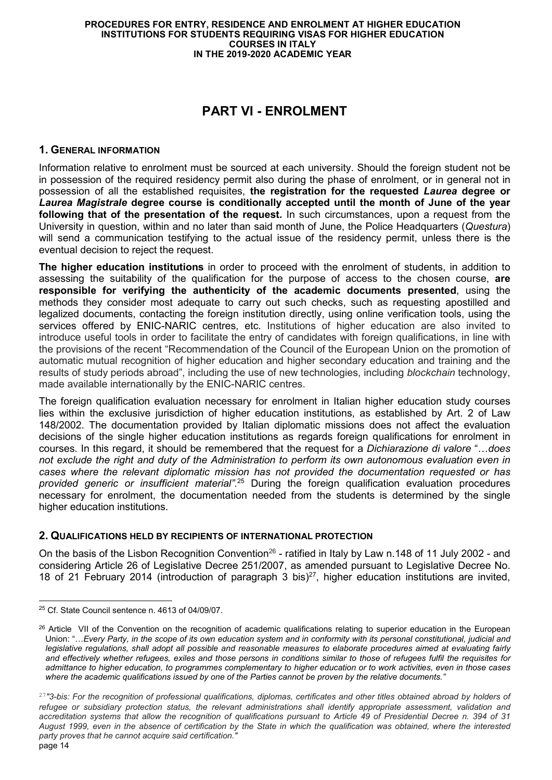# **PART VI - ENROLMENT**

### **1. GENERAL INFORMATION**

Information relative to enrolment must be sourced at each university. Should the foreign student not be in possession of the required residency permit also during the phase of enrolment, or in general not in possession of all the established requisites, **the registration for the requested** *Laurea* **degree or**  *Laurea Magistrale* **degree course is conditionally accepted until the month of June of the year following that of the presentation of the request.** In such circumstances, upon a request from the University in question, within and no later than said month of June, the Police Headquarters (*Questura*) will send a communication testifying to the actual issue of the residency permit, unless there is the eventual decision to reject the request.

**The higher education institutions** in order to proceed with the enrolment of students, in addition to assessing the suitability of the qualification for the purpose of access to the chosen course, **are responsible for verifying the authenticity of the academic documents presented**, using the methods they consider most adequate to carry out such checks, such as requesting apostilled and legalized documents, contacting the foreign institution directly, using online verification tools, using the services offered by ENIC-NARIC centres, etc. Institutions of higher education are also invited to introduce useful tools in order to facilitate the entry of candidates with foreign qualifications, in line with the provisions of the recent "Recommendation of the Council of the European Union on the promotion of automatic mutual recognition of higher education and higher secondary education and training and the results of study periods abroad", including the use of new technologies, including *blockchain* technology, made available internationally by the ENIC-NARIC centres.

The foreign qualification evaluation necessary for enrolment in Italian higher education study courses lies within the exclusive jurisdiction of higher education institutions, as established by Art. 2 of Law 148/2002. The documentation provided by Italian diplomatic missions does not affect the evaluation decisions of the single higher education institutions as regards foreign qualifications for enrolment in courses. In this regard, it should be remembered that the request for a *Dichiarazione di valore* "...does *not exclude the right and duty of the Administration to perform its own autonomous evaluation even in cases where the relevant diplomatic mission has not provided the documentation requested or has provided generic or insufficient material"*. <sup>25</sup> During the foreign qualification evaluation procedures necessary for enrolment, the documentation needed from the students is determined by the single higher education institutions.

## **2. QUALIFICATIONS HELD BY RECIPIENTS OF INTERNATIONAL PROTECTION**

On the basis of the Lisbon Recognition Convention<sup>26</sup> - ratified in Italy by Law n.148 of 11 July 2002 - and considering Article 26 of Legislative Decree 251/2007, as amended pursuant to Legislative Decree No. 18 of 21 February 2014 (introduction of paragraph 3 bis)<sup>27</sup>, higher education institutions are invited,

<sup>-</sup><sup>25</sup> Cf. State Council sentence n. 4613 of 04/09/07.

<sup>&</sup>lt;sup>26</sup> Article VII of the Convention on the recognition of academic qualifications relating to superior education in the European Union: "... Every Party, in the scope of its own education system and in conformity with its personal constitutional, judicial and *legislative regulations, shall adopt all possible and reasonable measures to elaborate procedures aimed at evaluating fairly and effectively whether refugees, exiles and those persons in conditions similar to those of refugees fulfil the requisites for admittance to higher education, to programmes complementary to higher education or to work activities, even in those cases where the academic qualifications issued by one of the Parties cannot be proven by the relative documents."* 

page 14 <sup>27</sup>*"3-bis: For the recognition of professional qualifications, diplomas, certificates and other titles obtained abroad by holders of refugee or subsidiary protection status, the relevant administrations shall identify appropriate assessment, validation and accreditation systems that allow the recognition of qualifications pursuant to Article 49 of Presidential Decree n. 394 of 31 August 1999, even in the absence of certification by the State in which the qualification was obtained, where the interested party proves that he cannot acquire said certification."*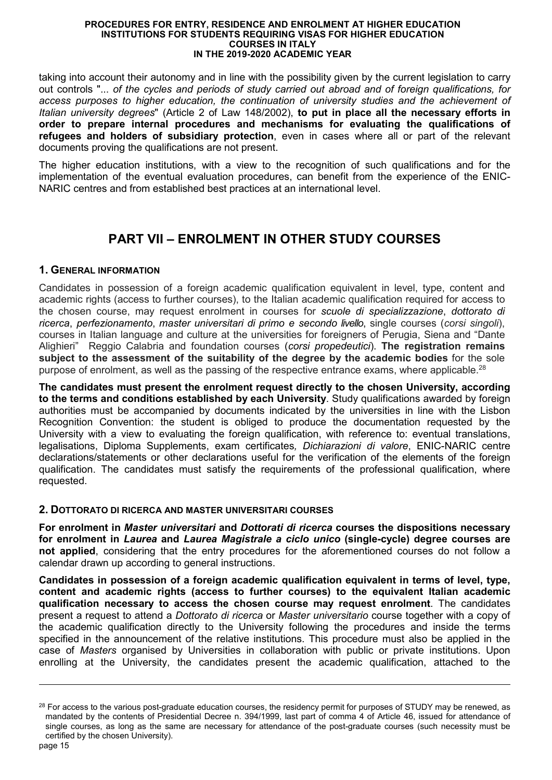taking into account their autonomy and in line with the possibility given by the current legislation to carry out controls "... *of the cycles and periods of study carried out abroad and of foreign qualifications, for access purposes to higher education, the continuation of university studies and the achievement of Italian university degrees*" (Article 2 of Law 148/2002), **to put in place all the necessary efforts in order to prepare internal procedures and mechanisms for evaluating the qualifications of refugees and holders of subsidiary protection**, even in cases where all or part of the relevant documents proving the qualifications are not present.

The higher education institutions, with a view to the recognition of such qualifications and for the implementation of the eventual evaluation procedures, can benefit from the experience of the ENIC-NARIC centres and from established best practices at an international level.

# **PART VII – ENROLMENT IN OTHER STUDY COURSES**

## **1. GENERAL INFORMATION**

Candidates in possession of a foreign academic qualification equivalent in level, type, content and academic rights (access to further courses), to the Italian academic qualification required for access to the chosen course, may request enrolment in courses for *scuole di specializzazione*, *dottorato di ricerca*, *perfezionamento*, *master universitari di primo e secondo livello*, single courses (*corsi singoli*), courses in Italian language and culture at the universities for foreigners of Perugia, Siena and "Dante Alighieri" Reggio Calabria and foundation courses (*corsi propedeutici*). **The registration remains subject to the assessment of the suitability of the degree by the academic bodies** for the sole purpose of enrolment, as well as the passing of the respective entrance exams, where applicable.<sup>28</sup>

**The candidates must present the enrolment request directly to the chosen University, according to the terms and conditions established by each University**. Study qualifications awarded by foreign authorities must be accompanied by documents indicated by the universities in line with the Lisbon Recognition Convention: the student is obliged to produce the documentation requested by the University with a view to evaluating the foreign qualification, with reference to: eventual translations, legalisations, Diploma Supplements, exam certificates*, Dichiarazioni di valore*, ENIC-NARIC centre declarations/statements or other declarations useful for the verification of the elements of the foreign qualification. The candidates must satisfy the requirements of the professional qualification, where requested.

## **2. DOTTORATO DI RICERCA AND MASTER UNIVERSITARI COURSES**

**For enrolment in** *Master universitari* **and** *Dottorati di ricerca* **courses the dispositions necessary for enrolment in** *Laurea* **and** *Laurea Magistrale a ciclo unico* **(single-cycle) degree courses are not applied**, considering that the entry procedures for the aforementioned courses do not follow a calendar drawn up according to general instructions.

**Candidates in possession of a foreign academic qualification equivalent in terms of level, type, content and academic rights (access to further courses) to the equivalent Italian academic qualification necessary to access the chosen course may request enrolment**. The candidates present a request to attend a *Dottorato di ricerca* or *Master universitario* course together with a copy of the academic qualification directly to the University following the procedures and inside the terms specified in the announcement of the relative institutions. This procedure must also be applied in the case of *Masters* organised by Universities in collaboration with public or private institutions. Upon enrolling at the University, the candidates present the academic qualification, attached to the

<sup>&</sup>lt;sup>28</sup> For access to the various post-graduate education courses, the residency permit for purposes of STUDY may be renewed, as mandated by the contents of Presidential Decree n. 394/1999, last part of comma 4 of Article 46, issued for attendance of single courses, as long as the same are necessary for attendance of the post-graduate courses (such necessity must be certified by the chosen University).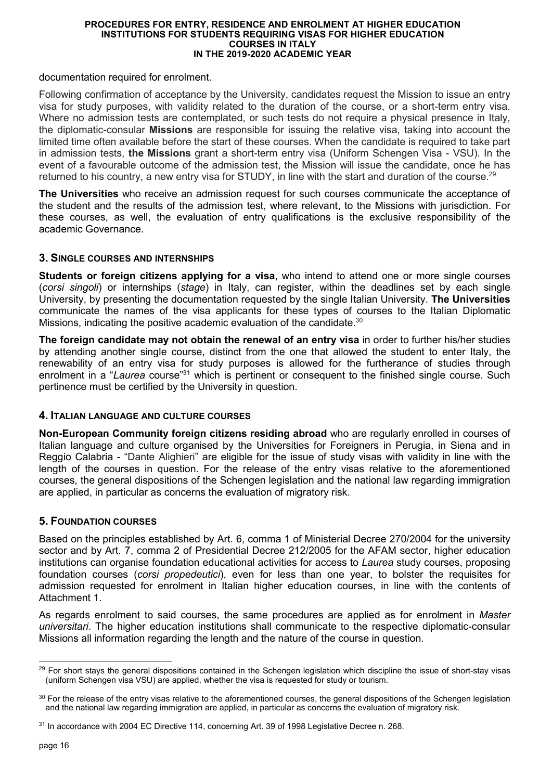documentation required for enrolment.

Following confirmation of acceptance by the University, candidates request the Mission to issue an entry visa for study purposes, with validity related to the duration of the course, or a short-term entry visa. Where no admission tests are contemplated, or such tests do not require a physical presence in Italy, the diplomatic-consular **Missions** are responsible for issuing the relative visa, taking into account the limited time often available before the start of these courses. When the candidate is required to take part in admission tests, **the Missions** grant a short-term entry visa (Uniform Schengen Visa - VSU). In the event of a favourable outcome of the admission test, the Mission will issue the candidate, once he has returned to his country, a new entry visa for STUDY, in line with the start and duration of the course.<sup>29</sup>

**The Universities** who receive an admission request for such courses communicate the acceptance of the student and the results of the admission test, where relevant, to the Missions with jurisdiction. For these courses, as well, the evaluation of entry qualifications is the exclusive responsibility of the academic Governance.

## **3. SINGLE COURSES AND INTERNSHIPS**

**Students or foreign citizens applying for a visa**, who intend to attend one or more single courses (*corsi singoli*) or internships (*stage*) in Italy, can register, within the deadlines set by each single University, by presenting the documentation requested by the single Italian University. **The Universities** communicate the names of the visa applicants for these types of courses to the Italian Diplomatic Missions, indicating the positive academic evaluation of the candidate.<sup>30</sup>

**The foreign candidate may not obtain the renewal of an entry visa** in order to further his/her studies by attending another single course, distinct from the one that allowed the student to enter Italy, the renewability of an entry visa for study purposes is allowed for the furtherance of studies through enrolment in a "*Laurea* course"<sup>31</sup> which is pertinent or consequent to the finished single course. Such pertinence must be certified by the University in question.

## **4. ITALIAN LANGUAGE AND CULTURE COURSES**

**Non-European Community foreign citizens residing abroad** who are regularly enrolled in courses of Italian language and culture organised by the Universities for Foreigners in Perugia, in Siena and in Reggio Calabria - "Dante Alighieri" are eligible for the issue of study visas with validity in line with the length of the courses in question. For the release of the entry visas relative to the aforementioned courses, the general dispositions of the Schengen legislation and the national law regarding immigration are applied, in particular as concerns the evaluation of migratory risk.

# **5. FOUNDATION COURSES**

Based on the principles established by Art. 6, comma 1 of Ministerial Decree 270/2004 for the university sector and by Art. 7, comma 2 of Presidential Decree 212/2005 for the AFAM sector, higher education institutions can organise foundation educational activities for access to *Laurea* study courses, proposing foundation courses (*corsi propedeutici*), even for less than one year, to bolster the requisites for admission requested for enrolment in Italian higher education courses, in line with the contents of Attachment 1.

As regards enrolment to said courses, the same procedures are applied as for enrolment in *Master universitari*. The higher education institutions shall communicate to the respective diplomatic-consular Missions all information regarding the length and the nature of the course in question.

<sup>-</sup> $29$  For short stays the general dispositions contained in the Schengen legislation which discipline the issue of short-stay visas (uniform Schengen visa VSU) are applied, whether the visa is requested for study or tourism.

<sup>&</sup>lt;sup>30</sup> For the release of the entry visas relative to the aforementioned courses, the general dispositions of the Schengen legislation and the national law regarding immigration are applied, in particular as concerns the evaluation of migratory risk.

<sup>31</sup> In accordance with 2004 EC Directive 114, concerning Art. 39 of 1998 Legislative Decree n. 268.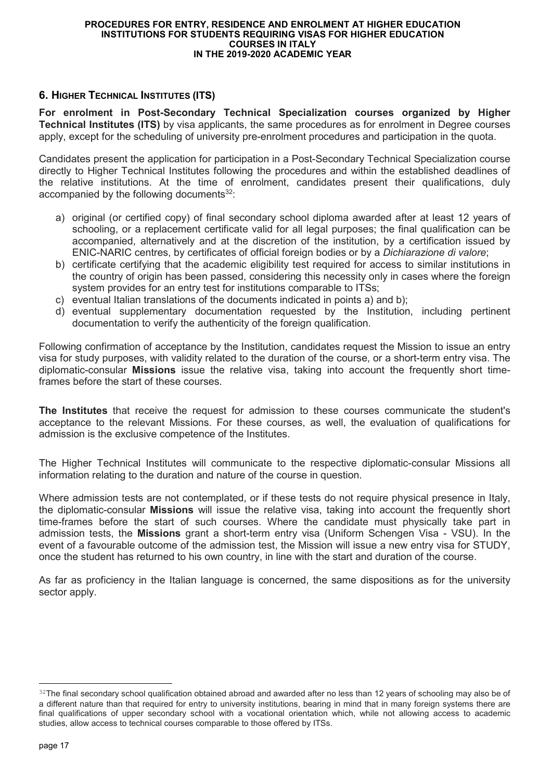# **6. HIGHER TECHNICAL INSTITUTES (ITS)**

**For enrolment in Post-Secondary Technical Specialization courses organized by Higher Technical Institutes (ITS)** by visa applicants, the same procedures as for enrolment in Degree courses apply, except for the scheduling of university pre-enrolment procedures and participation in the quota.

Candidates present the application for participation in a Post-Secondary Technical Specialization course directly to Higher Technical Institutes following the procedures and within the established deadlines of the relative institutions. At the time of enrolment, candidates present their qualifications, duly accompanied by the following documents<sup>32</sup>:

- a) original (or certified copy) of final secondary school diploma awarded after at least 12 years of schooling, or a replacement certificate valid for all legal purposes; the final qualification can be accompanied, alternatively and at the discretion of the institution, by a certification issued by ENIC-NARIC centres, by certificates of official foreign bodies or by a *Dichiarazione di valore*;
- b) certificate certifying that the academic eligibility test required for access to similar institutions in the country of origin has been passed, considering this necessity only in cases where the foreign system provides for an entry test for institutions comparable to ITSs;
- c) eventual Italian translations of the documents indicated in points a) and b);
- d) eventual supplementary documentation requested by the Institution, including pertinent documentation to verify the authenticity of the foreign qualification.

Following confirmation of acceptance by the Institution, candidates request the Mission to issue an entry visa for study purposes, with validity related to the duration of the course, or a short-term entry visa. The diplomatic-consular **Missions** issue the relative visa, taking into account the frequently short timeframes before the start of these courses.

**The Institutes** that receive the request for admission to these courses communicate the student's acceptance to the relevant Missions. For these courses, as well, the evaluation of qualifications for admission is the exclusive competence of the Institutes.

The Higher Technical Institutes will communicate to the respective diplomatic-consular Missions all information relating to the duration and nature of the course in question.

Where admission tests are not contemplated, or if these tests do not require physical presence in Italy, the diplomatic-consular **Missions** will issue the relative visa, taking into account the frequently short time-frames before the start of such courses. Where the candidate must physically take part in admission tests, the **Missions** grant a short-term entry visa (Uniform Schengen Visa - VSU). In the event of a favourable outcome of the admission test, the Mission will issue a new entry visa for STUDY, once the student has returned to his own country, in line with the start and duration of the course.

As far as proficiency in the Italian language is concerned, the same dispositions as for the university sector apply.

<sup>32</sup>The final secondary school qualification obtained abroad and awarded after no less than 12 years of schooling may also be of a different nature than that required for entry to university institutions, bearing in mind that in many foreign systems there are final qualifications of upper secondary school with a vocational orientation which, while not allowing access to academic studies, allow access to technical courses comparable to those offered by ITSs.